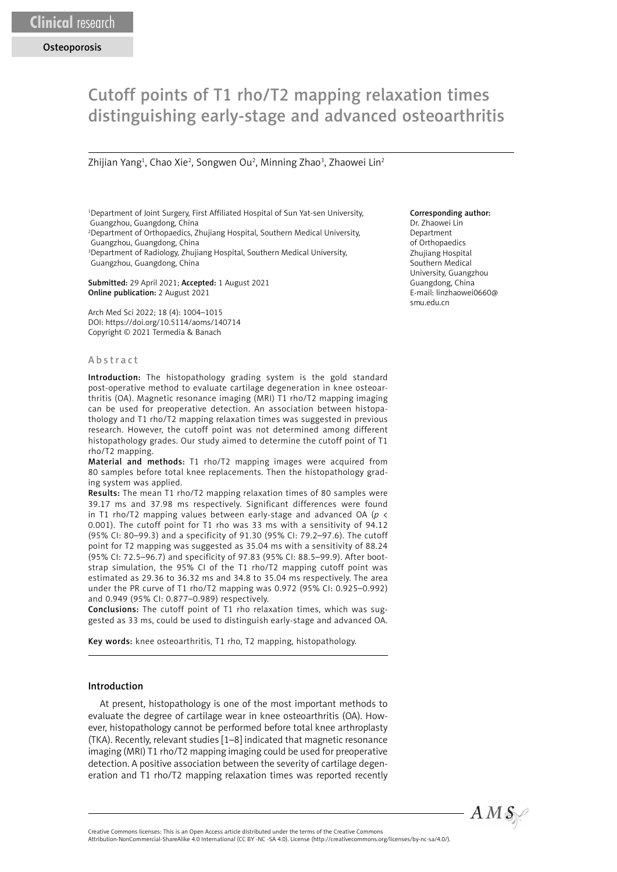# Cutoff points of T1 rho/T2 mapping relaxation times distinguishing early-stage and advanced osteoarthritis

Zhijian Yang<sup>1</sup>, Chao Xie<sup>2</sup>, Songwen Ou<sup>2</sup>, Minning Zhao<sup>3</sup>, Zhaowei Lin<sup>2</sup>

1 Department of Joint Surgery, First Affiliated Hospital of Sun Yat-sen University, Guangzhou, Guangdong, China

2 Department of Orthopaedics, Zhujiang Hospital, Southern Medical University, Guangzhou, Guangdong, China

3 Department of Radiology, Zhujiang Hospital, Southern Medical University, Guangzhou, Guangdong, China

Submitted: 29 April 2021; Accepted: 1 August 2021 Online publication: 2 August 2021

Arch Med Sci 2022; 18 (4): 1004–1015 DOI: https://doi.org/10.5114/aoms/140714 Copyright © 2021 Termedia & Banach

#### **A** b s t r a c t

Introduction: The histopathology grading system is the gold standard post-operative method to evaluate cartilage degeneration in knee osteoarthritis (OA). Magnetic resonance imaging (MRI) T1 rho/T2 mapping imaging can be used for preoperative detection. An association between histopathology and T1 rho/T2 mapping relaxation times was suggested in previous research. However, the cutoff point was not determined among different histopathology grades. Our study aimed to determine the cutoff point of T1 rho/T2 mapping.

Material and methods: T1 rho/T2 mapping images were acquired from 80 samples before total knee replacements. Then the histopathology grading system was applied.

Results: The mean T1 rho/T2 mapping relaxation times of 80 samples were 39.17 ms and 37.98 ms respectively. Significant differences were found in T1 rho/T2 mapping values between early-stage and advanced OA (*p* < 0.001). The cutoff point for T1 rho was 33 ms with a sensitivity of 94.12 (95% CI: 80–99.3) and a specificity of 91.30 (95% CI: 79.2–97.6). The cutoff point for T2 mapping was suggested as 35.04 ms with a sensitivity of 88.24 (95% CI: 72.5–96.7) and specificity of 97.83 (95% CI: 88.5–99.9). After bootstrap simulation, the 95% CI of the T1 rho/T2 mapping cutoff point was estimated as 29.36 to 36.32 ms and 34.8 to 35.04 ms respectively. The area under the PR curve of T1 rho/T2 mapping was 0.972 (95% CI: 0.925–0.992) and 0.949 (95% CI: 0.877–0.989) respectively.

Conclusions: The cutoff point of T1 rho relaxation times, which was suggested as 33 ms, could be used to distinguish early-stage and advanced OA.

Key words: knee osteoarthritis, T1 rho, T2 mapping, histopathology.

#### Introduction

At present, histopathology is one of the most important methods to evaluate the degree of cartilage wear in knee osteoarthritis (OA). However, histopathology cannot be performed before total knee arthroplasty (TKA). Recently, relevant studies [1–8] indicated that magnetic resonance imaging (MRI) T1 rho/T2 mapping imaging could be used for preoperative detection. A positive association between the severity of cartilage degeneration and T1 rho/T2 mapping relaxation times was reported recently

#### Corresponding author:

Dr. Zhaowei Lin Department of Orthopaedics Zhujiang Hospital Southern Medical University, Guangzhou Guangdong, China E-mail: linzhaowei0660@ smu.edu.cn



Attribution-NonCommercial-ShareAlike 4.0 International (CC BY -NC -SA 4.0). License (http://creativecommons.org/licenses/by-nc-sa/4.0/).

Creative Commons licenses: This is an Open Access article distributed under the terms of the Creative Commons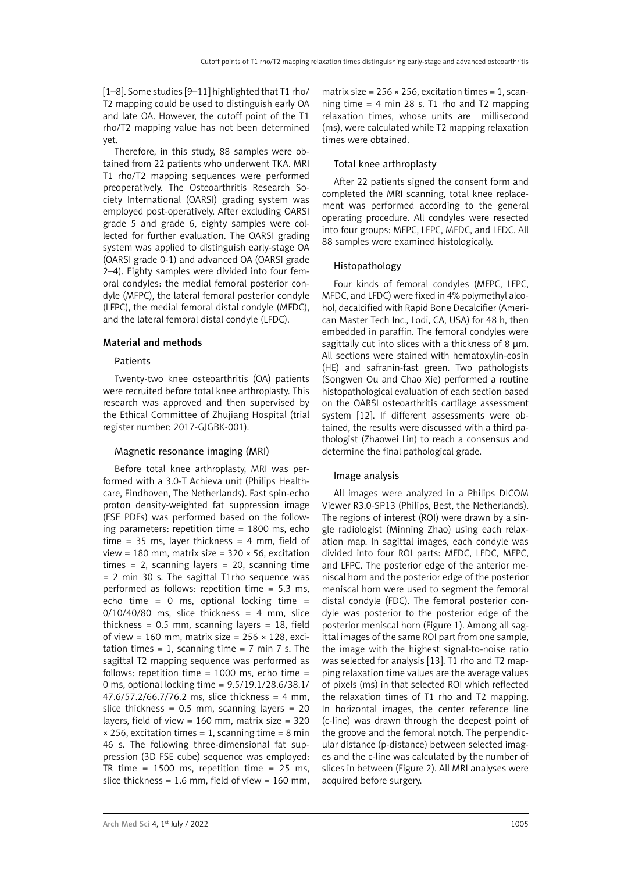[1–8]. Some studies [9–11] highlighted that T1 rho/ T2 mapping could be used to distinguish early OA and late OA. However, the cutoff point of the T1 rho/T2 mapping value has not been determined yet.

Therefore, in this study, 88 samples were obtained from 22 patients who underwent TKA. MRI T1 rho/T2 mapping sequences were performed preoperatively. The Osteoarthritis Research Society International (OARSI) grading system was employed post-operatively. After excluding OARSI grade 5 and grade 6, eighty samples were collected for further evaluation. The OARSI grading system was applied to distinguish early-stage OA (OARSI grade 0-1) and advanced OA (OARSI grade 2–4). Eighty samples were divided into four femoral condyles: the medial femoral posterior condyle (MFPC), the lateral femoral posterior condyle (LFPC), the medial femoral distal condyle (MFDC), and the lateral femoral distal condyle (LFDC).

# Material and methods

# Patients

Twenty-two knee osteoarthritis (OA) patients were recruited before total knee arthroplasty. This research was approved and then supervised by the Ethical Committee of Zhujiang Hospital (trial register number: 2017-GJGBK-001).

# Magnetic resonance imaging (MRI)

Before total knee arthroplasty, MRI was performed with a 3.0-T Achieva unit (Philips Healthcare, Eindhoven, The Netherlands). Fast spin-echo proton density-weighted fat suppression image (FSE PDFs) was performed based on the following parameters: repetition time = 1800 ms, echo time = 35 ms, layer thickness = 4 mm, field of view = 180 mm, matrix size = 320 × 56, excitation times = 2, scanning layers = 20, scanning time = 2 min 30 s. The sagittal T1rho sequence was performed as follows: repetition time = 5.3 ms, echo time = 0 ms, optional locking time =  $0/10/40/80$  ms, slice thickness = 4 mm, slice thickness =  $0.5$  mm, scanning layers =  $18$ , field of view = 160 mm, matrix size =  $256 \times 128$ , excitation times = 1, scanning time =  $7$  min  $7$  s. The sagittal T2 mapping sequence was performed as follows: repetition time =  $1000$  ms, echo time = 0 ms, optional locking time = 9.5/19.1/28.6/38.1/ 47.6/57.2/66.7/76.2 ms, slice thickness = 4 mm, slice thickness =  $0.5$  mm, scanning layers =  $20$ layers, field of view =  $160$  mm, matrix size =  $320$  $\times$  256, excitation times = 1, scanning time = 8 min 46 s. The following three-dimensional fat suppression (3D FSE cube) sequence was employed: TR time = 1500 ms, repetition time =  $25$  ms, slice thickness =  $1.6$  mm, field of view =  $160$  mm, matrix size =  $256 \times 256$ , excitation times = 1, scanning time  $= 4$  min 28 s. T1 rho and T2 mapping relaxation times, whose units are millisecond (ms), were calculated while T2 mapping relaxation times were obtained.

# Total knee arthroplasty

After 22 patients signed the consent form and completed the MRI scanning, total knee replacement was performed according to the general operating procedure. All condyles were resected into four groups: MFPC, LFPC, MFDC, and LFDC. All 88 samples were examined histologically.

# Histopathology

Four kinds of femoral condyles (MFPC, LFPC, MFDC, and LFDC) were fixed in 4% polymethyl alcohol, decalcified with Rapid Bone Decalcifier (American Master Tech Inc., Lodi, CA, USA) for 48 h, then embedded in paraffin. The femoral condyles were sagittally cut into slices with a thickness of 8 μm. All sections were stained with hematoxylin-eosin (HE) and safranin-fast green. Two pathologists (Songwen Ou and Chao Xie) performed a routine histopathological evaluation of each section based on the OARSI osteoarthritis cartilage assessment system [12]. If different assessments were obtained, the results were discussed with a third pathologist (Zhaowei Lin) to reach a consensus and determine the final pathological grade.

# Image analysis

All images were analyzed in a Philips DICOM Viewer R3.0-SP13 (Philips, Best, the Netherlands). The regions of interest (ROI) were drawn by a single radiologist (Minning Zhao) using each relaxation map. In sagittal images, each condyle was divided into four ROI parts: MFDC, LFDC, MFPC, and LFPC. The posterior edge of the anterior meniscal horn and the posterior edge of the posterior meniscal horn were used to segment the femoral distal condyle (FDC). The femoral posterior condyle was posterior to the posterior edge of the posterior meniscal horn (Figure 1). Among all sagittal images of the same ROI part from one sample, the image with the highest signal-to-noise ratio was selected for analysis [13]. T1 rho and T2 mapping relaxation time values are the average values of pixels (ms) in that selected ROI which reflected the relaxation times of T1 rho and T2 mapping. In horizontal images, the center reference line (c-line) was drawn through the deepest point of the groove and the femoral notch. The perpendicular distance (p-distance) between selected images and the c-line was calculated by the number of slices in between (Figure 2). All MRI analyses were acquired before surgery.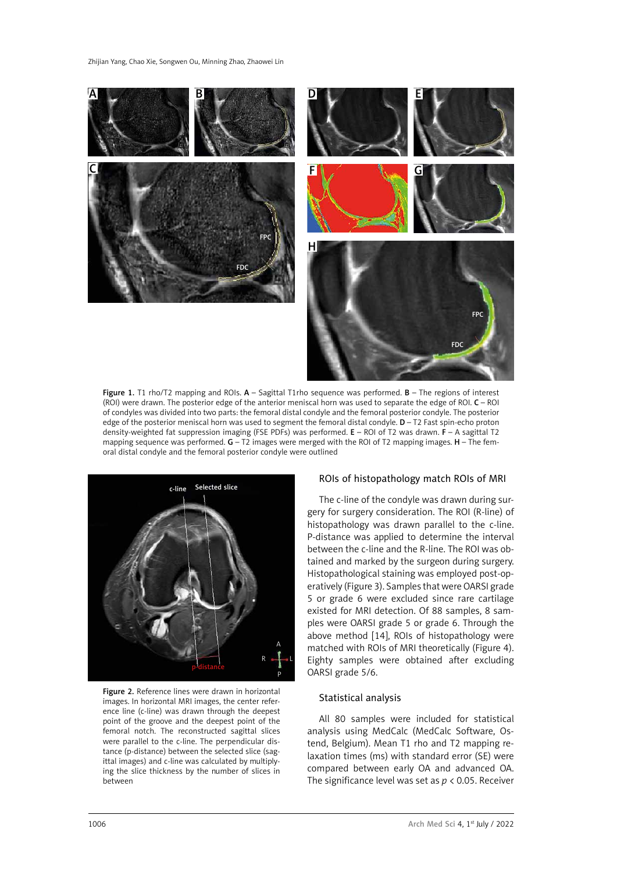

Figure 1. T1 rho/T2 mapping and ROIs.  $A -$  Sagittal T1rho sequence was performed.  $B -$  The regions of interest (ROI) were drawn. The posterior edge of the anterior meniscal horn was used to separate the edge of ROI. C – ROI of condyles was divided into two parts: the femoral distal condyle and the femoral posterior condyle. The posterior edge of the posterior meniscal horn was used to segment the femoral distal condyle. D – T2 Fast spin-echo proton density-weighted fat suppression imaging (FSE PDFs) was performed. E – ROI of T2 was drawn. F – A sagittal T2 mapping sequence was performed.  $G - T2$  images were merged with the ROI of T2 mapping images.  $H - T$ he femoral distal condyle and the femoral posterior condyle were outlined



Figure 2. Reference lines were drawn in horizontal images. In horizontal MRI images, the center reference line (c-line) was drawn through the deepest point of the groove and the deepest point of the femoral notch. The reconstructed sagittal slices were parallel to the c-line. The perpendicular distance (p-distance) between the selected slice (sagittal images) and c-line was calculated by multiplying the slice thickness by the number of slices in between

#### ROIs of histopathology match ROIs of MRI

The c-line of the condyle was drawn during surgery for surgery consideration. The ROI (R-line) of histopathology was drawn parallel to the c-line. P-distance was applied to determine the interval between the c-line and the R-line. The ROI was obtained and marked by the surgeon during surgery. Histopathological staining was employed post-operatively (Figure 3). Samples that were OARSI grade 5 or grade 6 were excluded since rare cartilage existed for MRI detection. Of 88 samples, 8 samples were OARSI grade 5 or grade 6. Through the above method [14], ROIs of histopathology were matched with ROIs of MRI theoretically (Figure 4). Eighty samples were obtained after excluding OARSI grade 5/6.

### Statistical analysis

All 80 samples were included for statistical analysis using MedCalc (MedCalc Software, Ostend, Belgium). Mean T1 rho and T2 mapping relaxation times (ms) with standard error (SE) were compared between early OA and advanced OA. The significance level was set as *p* < 0.05. Receiver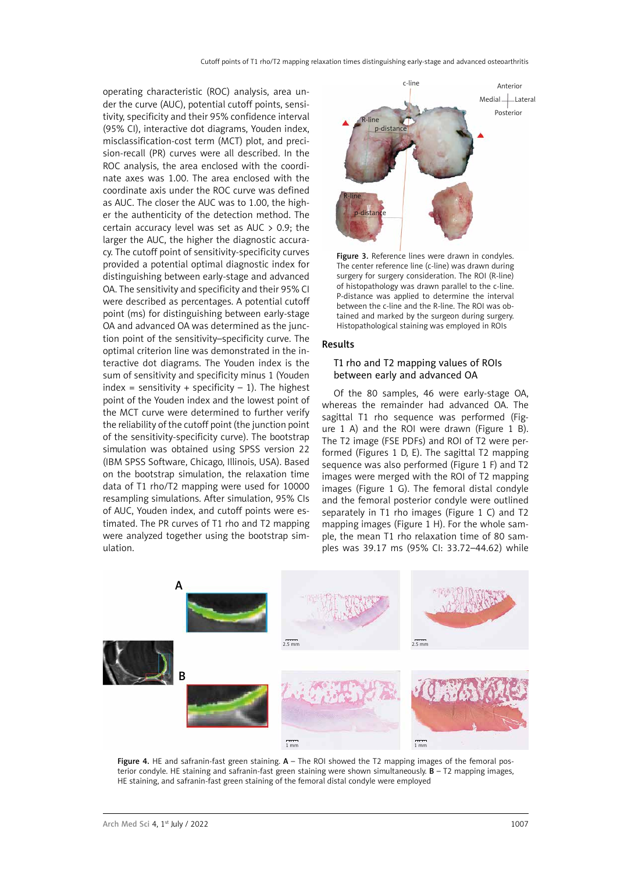operating characteristic (ROC) analysis, area under the curve (AUC), potential cutoff points, sensitivity, specificity and their 95% confidence interval (95% CI), interactive dot diagrams, Youden index, misclassification-cost term (MCT) plot, and precision-recall (PR) curves were all described. In the ROC analysis, the area enclosed with the coordinate axes was 1.00. The area enclosed with the coordinate axis under the ROC curve was defined as AUC. The closer the AUC was to 1.00, the higher the authenticity of the detection method. The certain accuracy level was set as AUC  $> 0.9$ ; the larger the AUC, the higher the diagnostic accuracy. The cutoff point of sensitivity-specificity curves provided a potential optimal diagnostic index for distinguishing between early-stage and advanced OA. The sensitivity and specificity and their 95% CI were described as percentages. A potential cutoff point (ms) for distinguishing between early-stage OA and advanced OA was determined as the junction point of the sensitivity–specificity curve. The optimal criterion line was demonstrated in the interactive dot diagrams. The Youden index is the sum of sensitivity and specificity minus 1 (Youden  $index = sensitivity + specificity - 1$ . The highest point of the Youden index and the lowest point of the MCT curve were determined to further verify the reliability of the cutoff point (the junction point of the sensitivity-specificity curve). The bootstrap simulation was obtained using SPSS version 22 (IBM SPSS Software, Chicago, Illinois, USA). Based on the bootstrap simulation, the relaxation time data of T1 rho/T2 mapping were used for 10000 resampling simulations. After simulation, 95% CIs of AUC, Youden index, and cutoff points were estimated. The PR curves of T1 rho and T2 mapping were analyzed together using the bootstrap simulation.



Figure 3. Reference lines were drawn in condyles. The center reference line (c-line) was drawn during surgery for surgery consideration. The ROI (R-line) of histopathology was drawn parallel to the c-line. P-distance was applied to determine the interval between the c-line and the R-line. The ROI was obtained and marked by the surgeon during surgery. Histopathological staining was employed in ROIs

#### Results

## T1 rho and T2 mapping values of ROIs between early and advanced OA

Of the 80 samples, 46 were early-stage OA, whereas the remainder had advanced OA. The sagittal T1 rho sequence was performed (Figure 1 A) and the ROI were drawn (Figure 1 B). The T2 image (FSE PDFs) and ROI of T2 were performed (Figures 1 D, E). The sagittal T2 mapping sequence was also performed (Figure 1 F) and T2 images were merged with the ROI of T2 mapping images (Figure 1 G). The femoral distal condyle and the femoral posterior condyle were outlined separately in T1 rho images (Figure 1 C) and T2 mapping images (Figure 1 H). For the whole sample, the mean T1 rho relaxation time of 80 samples was 39.17 ms (95% CI: 33.72–44.62) while



Figure 4. HE and safranin-fast green staining.  $A -$  The ROI showed the T2 mapping images of the femoral posterior condyle. HE staining and safranin-fast green staining were shown simultaneously.  $B - T2$  mapping images, HE staining, and safranin-fast green staining of the femoral distal condyle were employed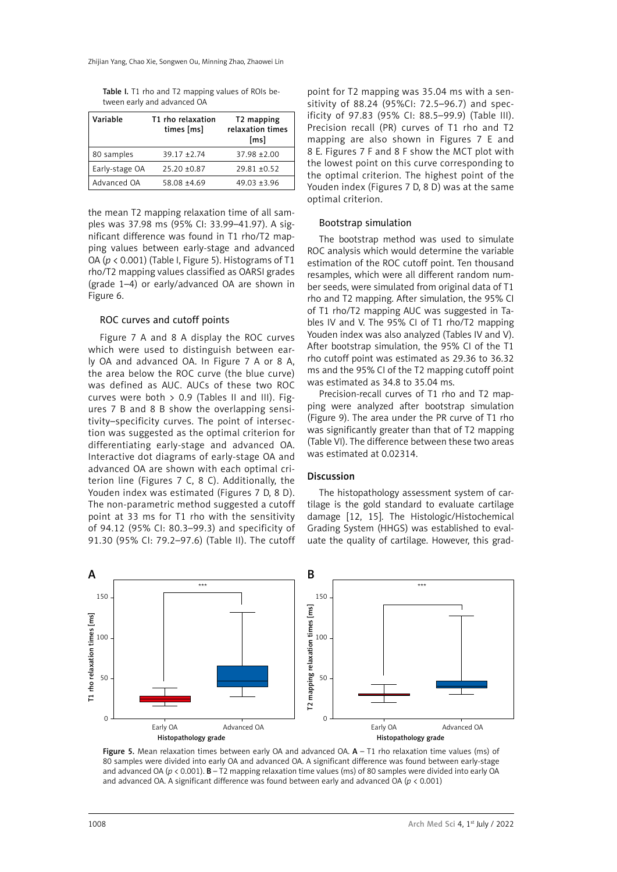Table I. T1 rho and T2 mapping values of ROIs between early and advanced OA

| Variable       | T1 rho relaxation<br>times [ms] | T <sub>2</sub> mapping<br>relaxation times<br>[ms] |
|----------------|---------------------------------|----------------------------------------------------|
| 80 samples     | $39.17 + 2.74$                  | $37.98 + 2.00$                                     |
| Early-stage OA | $25.20 \pm 0.87$                | $29.81 + 0.52$                                     |
| Advanced OA    | 58.08 ±4.69                     | $49.03 + 3.96$                                     |

the mean T2 mapping relaxation time of all samples was 37.98 ms (95% CI: 33.99–41.97). A significant difference was found in T1 rho/T2 mapping values between early-stage and advanced OA (*p* < 0.001) (Table I, Figure 5). Histograms of T1 rho/T2 mapping values classified as OARSI grades (grade 1–4) or early/advanced OA are shown in Figure 6.

#### ROC curves and cutoff points

Figure 7 A and 8 A display the ROC curves which were used to distinguish between early OA and advanced OA. In Figure 7 A or 8 A, the area below the ROC curve (the blue curve) was defined as AUC. AUCs of these two ROC curves were both  $> 0.9$  (Tables II and III). Figures 7 B and 8 B show the overlapping sensitivity–specificity curves. The point of intersection was suggested as the optimal criterion for differentiating early-stage and advanced OA. Interactive dot diagrams of early-stage OA and advanced OA are shown with each optimal criterion line (Figures 7 C, 8 C). Additionally, the Youden index was estimated (Figures 7 D, 8 D). The non-parametric method suggested a cutoff point at 33 ms for T1 rho with the sensitivity of 94.12 (95% CI: 80.3–99.3) and specificity of 91.30 (95% CI: 79.2–97.6) (Table II). The cutoff

point for T2 mapping was 35.04 ms with a sensitivity of 88.24 (95%CI: 72.5–96.7) and specificity of 97.83 (95% CI: 88.5–99.9) (Table III). Precision recall (PR) curves of T1 rho and T2 mapping are also shown in Figures 7 E and 8 E. Figures 7 F and 8 F show the MCT plot with the lowest point on this curve corresponding to the optimal criterion. The highest point of the Youden index (Figures 7 D, 8 D) was at the same optimal criterion.

#### Bootstrap simulation

The bootstrap method was used to simulate ROC analysis which would determine the variable estimation of the ROC cutoff point. Ten thousand resamples, which were all different random number seeds, were simulated from original data of T1 rho and T2 mapping. After simulation, the 95% CI of T1 rho/T2 mapping AUC was suggested in Tables IV and V. The 95% CI of T1 rho/T2 mapping Youden index was also analyzed (Tables IV and V). After bootstrap simulation, the 95% CI of the T1 rho cutoff point was estimated as 29.36 to 36.32 ms and the 95% CI of the T2 mapping cutoff point was estimated as 34.8 to 35.04 ms.

Precision-recall curves of T1 rho and T2 mapping were analyzed after bootstrap simulation (Figure 9). The area under the PR curve of T1 rho was significantly greater than that of T2 mapping (Table VI). The difference between these two areas was estimated at 0.02314.

#### Discussion

The histopathology assessment system of cartilage is the gold standard to evaluate cartilage damage [12, 15]. The Histologic/Histochemical Grading System (HHGS) was established to evaluate the quality of cartilage. However, this grad-



Figure 5. Mean relaxation times between early OA and advanced OA.  $A - T1$  rho relaxation time values (ms) of 80 samples were divided into early OA and advanced OA. A significant difference was found between early-stage and advanced OA ( $p < 0.001$ ). **B** – T2 mapping relaxation time values (ms) of 80 samples were divided into early OA and advanced OA. A significant difference was found between early and advanced OA (*p* < 0.001)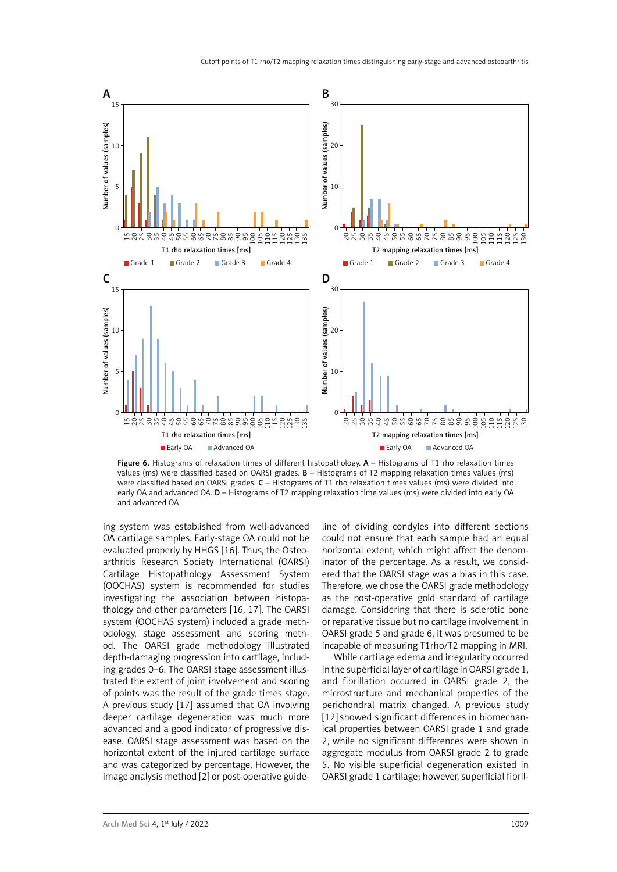

Figure 6. Histograms of relaxation times of different histopathology. A – Histograms of T1 rho relaxation times values (ms) were classified based on OARSI grades. B – Histograms of T2 mapping relaxation times values (ms) were classified based on OARSI grades.  $C - H$ istograms of T1 rho relaxation times values (ms) were divided into early OA and advanced OA. D - Histograms of T2 mapping relaxation time values (ms) were divided into early OA and advanced OA

ing system was established from well-advanced OA cartilage samples. Early-stage OA could not be evaluated properly by HHGS [16]. Thus, the Osteoarthritis Research Society International (OARSI) Cartilage Histopathology Assessment System (OOCHAS) system is recommended for studies investigating the association between histopathology and other parameters [16, 17]. The OARSI system (OOCHAS system) included a grade methodology, stage assessment and scoring method. The OARSI grade methodology illustrated depth-damaging progression into cartilage, including grades 0–6. The OARSI stage assessment illustrated the extent of joint involvement and scoring of points was the result of the grade times stage. A previous study [17] assumed that OA involving deeper cartilage degeneration was much more advanced and a good indicator of progressive disease. OARSI stage assessment was based on the horizontal extent of the injured cartilage surface and was categorized by percentage. However, the image analysis method [2] or post-operative guide-

line of dividing condyles into different sections could not ensure that each sample had an equal horizontal extent, which might affect the denominator of the percentage. As a result, we considered that the OARSI stage was a bias in this case. Therefore, we chose the OARSI grade methodology as the post-operative gold standard of cartilage damage. Considering that there is sclerotic bone or reparative tissue but no cartilage involvement in OARSI grade 5 and grade 6, it was presumed to be incapable of measuring T1rho/T2 mapping in MRI.

While cartilage edema and irregularity occurred in the superficial layer of cartilage in OARSI grade 1, and fibrillation occurred in OARSI grade 2, the microstructure and mechanical properties of the perichondral matrix changed. A previous study [12] showed significant differences in biomechanical properties between OARSI grade 1 and grade 2, while no significant differences were shown in aggregate modulus from OARSI grade 2 to grade 5. No visible superficial degeneration existed in OARSI grade 1 cartilage; however, superficial fibril-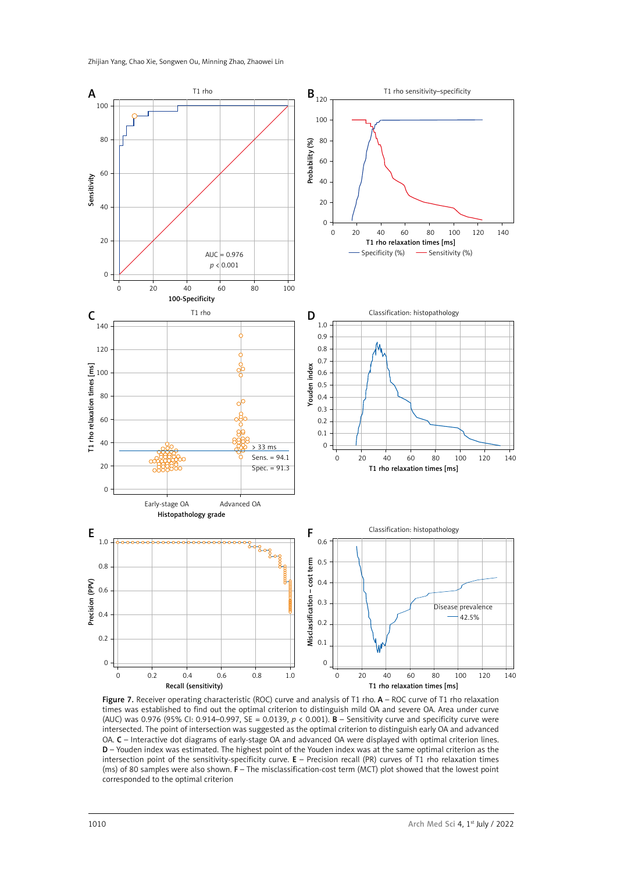

Figure 7. Receiver operating characteristic (ROC) curve and analysis of T1 rho. A – ROC curve of T1 rho relaxation times was established to find out the optimal criterion to distinguish mild OA and severe OA. Area under curve (AUC) was 0.976 (95% CI: 0.914–0.997, SE = 0.0139, *p* < 0.001). B – Sensitivity curve and specificity curve were intersected. The point of intersection was suggested as the optimal criterion to distinguish early OA and advanced OA. C – Interactive dot diagrams of early-stage OA and advanced OA were displayed with optimal criterion lines. D – Youden index was estimated. The highest point of the Youden index was at the same optimal criterion as the intersection point of the sensitivity-specificity curve. E – Precision recall (PR) curves of T1 rho relaxation times (ms) of 80 samples were also shown. F – The misclassification-cost term (MCT) plot showed that the lowest point corresponded to the optimal criterion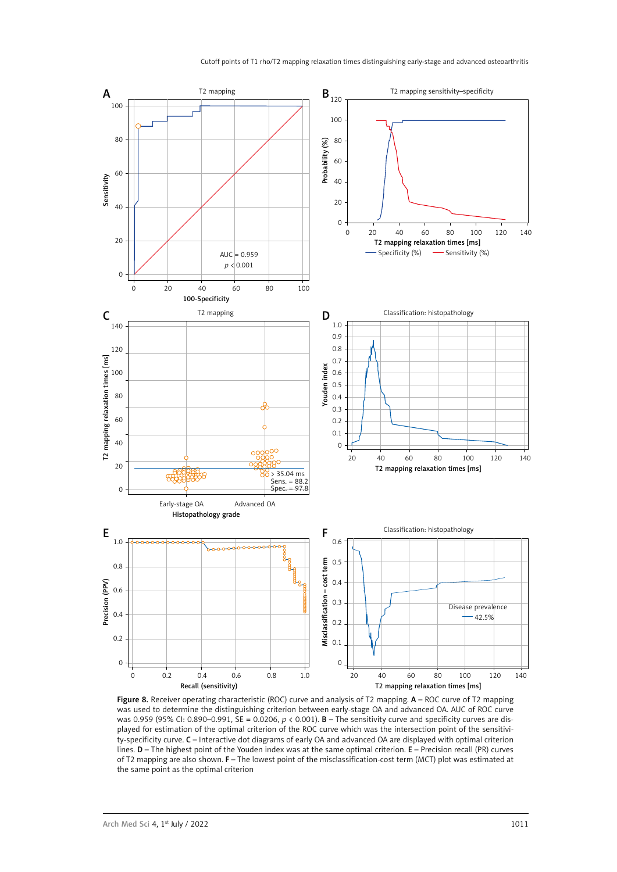

Figure 8. Receiver operating characteristic (ROC) curve and analysis of T2 mapping. A – ROC curve of T2 mapping was used to determine the distinguishing criterion between early-stage OA and advanced OA. AUC of ROC curve was 0.959 (95% CI: 0.890–0.991, SE = 0.0206, *p* < 0.001). B – The sensitivity curve and specificity curves are displayed for estimation of the optimal criterion of the ROC curve which was the intersection point of the sensitivity-specificity curve. C – Interactive dot diagrams of early OA and advanced OA are displayed with optimal criterion lines. D – The highest point of the Youden index was at the same optimal criterion. E – Precision recall (PR) curves of T2 mapping are also shown. F – The lowest point of the misclassification-cost term (MCT) plot was estimated at the same point as the optimal criterion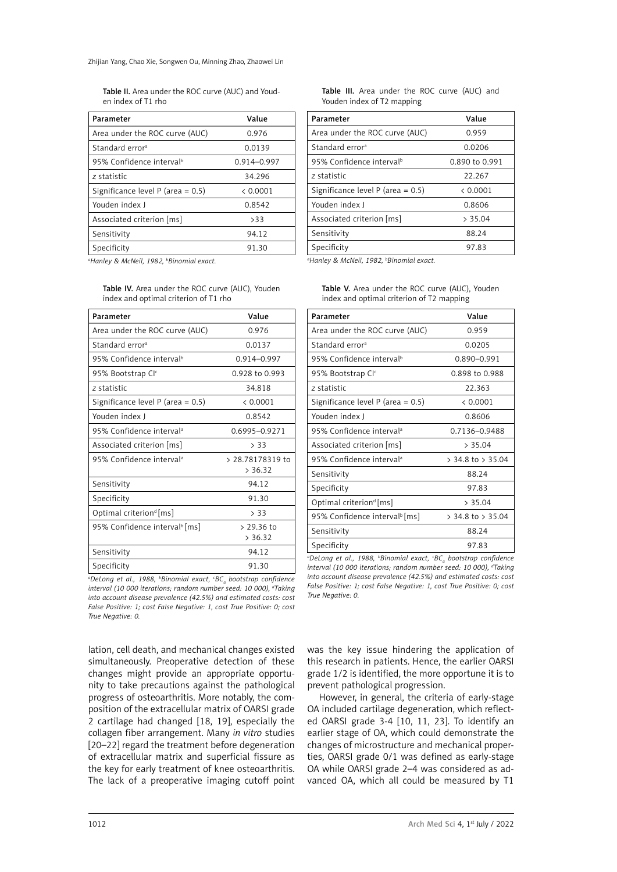Table II. Area under the ROC curve (AUC) and Youden index of T1 rho

| Parameter                            | Value       |
|--------------------------------------|-------------|
| Area under the ROC curve (AUC)       | 0.976       |
| Standard error <sup>a</sup>          | 0.0139      |
| 95% Confidence interval <sup>b</sup> | 0.914-0.997 |
| z statistic                          | 34.296      |
| Significance level P (area = $0.5$ ) | & 0.0001    |
| Youden index J                       | 0.8542      |
| Associated criterion [ms]            | >33         |
| Sensitivity                          | 94.12       |
| Specificity                          | 91.30       |

*a Hanley & McNeil, 1982, b Binomial exact.*

Table IV. Area under the ROC curve (AUC), Youden index and optimal criterion of T1 rho

| Parameter                                 | Value                       |
|-------------------------------------------|-----------------------------|
| Area under the ROC curve (AUC)            | 0.976                       |
| Standard error <sup>a</sup>               | 0.0137                      |
| 95% Confidence interval <sup>b</sup>      | 0.914-0.997                 |
| 95% Bootstrap Clc                         | 0.928 to 0.993              |
| z statistic                               | 34.818                      |
| Significance level P (area = $0.5$ )      | & 0.0001                    |
| Youden index I                            | 0.8542                      |
| 95% Confidence interval <sup>a</sup>      | 0.6995-0.9271               |
| Associated criterion [ms]                 | > 33                        |
| 95% Confidence interval <sup>a</sup>      | > 28.78178319 to<br>> 36.32 |
| Sensitivity                               | 94.12                       |
| Specificity                               | 91.30                       |
| Optimal criterion <sup>d</sup> [ms]       | > 33                        |
| 95% Confidence interval <sup>b</sup> [ms] | $> 29.36$ to<br>> 36.32     |
| Sensitivity                               | 94.12                       |
| Specificity                               | 91.30                       |

*a DeLong et al., 1988, b Binomial exact, c BCa bootstrap confidence interval (10 000 iterations; random number seed: 10 000), d Taking into account disease prevalence (42.5%) and estimated costs: cost False Positive: 1; cost False Negative: 1, cost True Positive: 0; cost True Negative: 0.*

lation, cell death, and mechanical changes existed simultaneously. Preoperative detection of these changes might provide an appropriate opportunity to take precautions against the pathological progress of osteoarthritis. More notably, the composition of the extracellular matrix of OARSI grade 2 cartilage had changed [18, 19], especially the collagen fiber arrangement. Many *in vitro* studies [20–22] regard the treatment before degeneration of extracellular matrix and superficial fissure as the key for early treatment of knee osteoarthritis. The lack of a preoperative imaging cutoff point Table III. Area under the ROC curve (AUC) and Youden index of T2 mapping

| Parameter                            | Value          |
|--------------------------------------|----------------|
| Area under the ROC curve (AUC)       | 0.959          |
| Standard error <sup>a</sup>          | 0.0206         |
| 95% Confidence interval <sup>b</sup> | 0.890 to 0.991 |
| z statistic                          | 22.267         |
| Significance level P (area = $0.5$ ) | & 0.0001       |
| Youden index J                       | 0.8606         |
| Associated criterion [ms]            | > 35.04        |
| Sensitivity                          | 88.24          |
| Specificity                          | 97.83          |

*a Hanley & McNeil, 1982, b Binomial exact.*

Table V. Area under the ROC curve (AUC), Youden index and optimal criterion of T2 mapping

| Parameter                                 | Value                 |
|-------------------------------------------|-----------------------|
| Area under the ROC curve (AUC)            | 0.959                 |
| Standard error <sup>a</sup>               | 0.0205                |
| 95% Confidence interval <sup>b</sup>      | 0.890-0.991           |
| 95% Bootstrap Cl <sup>c</sup>             | 0.898 to 0.988        |
| z statistic                               | 22.363                |
| Significance level P (area = $0.5$ )      | & 0.0001              |
| Youden index J                            | 0.8606                |
| 95% Confidence interval <sup>a</sup>      | 0.7136-0.9488         |
| Associated criterion [ms]                 | > 35.04               |
| 95% Confidence interval <sup>a</sup>      | $>$ 34.8 to $>$ 35.04 |
| Sensitivity                               | 88.24                 |
| Specificity                               | 97.83                 |
| Optimal criterion <sup>d</sup> [ms]       | > 35.04               |
| 95% Confidence interval <sup>b</sup> [ms] | $>$ 34.8 to $>$ 35.04 |
| Sensitivity                               | 88.24                 |
| Specificity                               | 97.83                 |

*a DeLong et al., 1988, b Binomial exact, c BCa bootstrap confidence interval (10 000 iterations; random number seed: 10 000), d Taking into account disease prevalence (42.5%) and estimated costs: cost False Positive: 1; cost False Negative: 1, cost True Positive: 0; cost True Negative: 0.*

was the key issue hindering the application of this research in patients. Hence, the earlier OARSI grade 1/2 is identified, the more opportune it is to prevent pathological progression.

However, in general, the criteria of early-stage OA included cartilage degeneration, which reflected OARSI grade 3-4 [10, 11, 23]. To identify an earlier stage of OA, which could demonstrate the changes of microstructure and mechanical properties, OARSI grade 0/1 was defined as early-stage OA while OARSI grade 2–4 was considered as advanced OA, which all could be measured by T1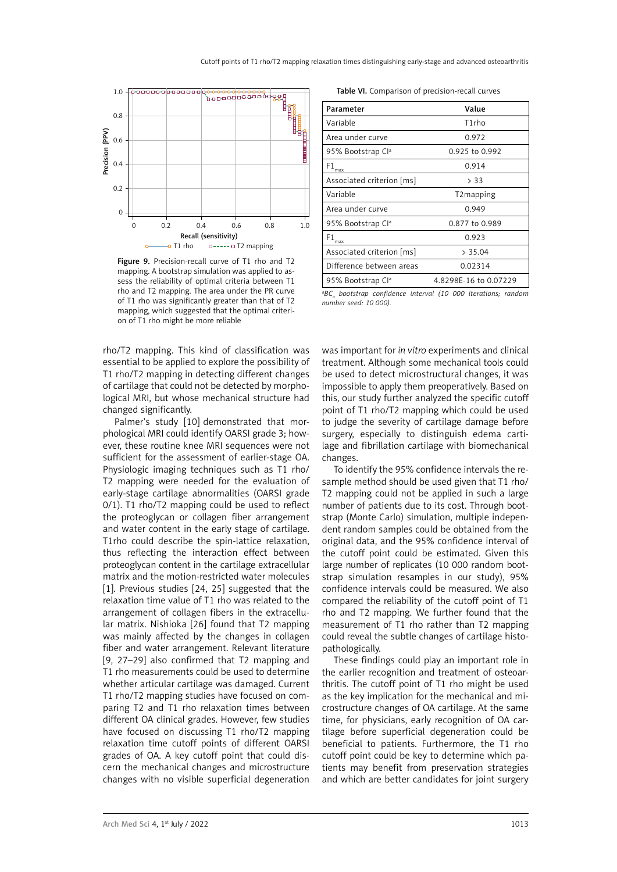

Figure 9. Precision-recall curve of T1 rho and T2 mapping. A bootstrap simulation was applied to assess the reliability of optimal criteria between T1 rho and T2 mapping. The area under the PR curve of T1 rho was significantly greater than that of T2 mapping, which suggested that the optimal criterion of T1 rho might be more reliable

rho/T2 mapping. This kind of classification was essential to be applied to explore the possibility of T1 rho/T2 mapping in detecting different changes of cartilage that could not be detected by morphological MRI, but whose mechanical structure had changed significantly.

Palmer's study [10] demonstrated that morphological MRI could identify OARSI grade 3; however, these routine knee MRI sequences were not sufficient for the assessment of earlier-stage OA. Physiologic imaging techniques such as T1 rho/ T2 mapping were needed for the evaluation of early-stage cartilage abnormalities (OARSI grade 0/1). T1 rho/T2 mapping could be used to reflect the proteoglycan or collagen fiber arrangement and water content in the early stage of cartilage. T1rho could describe the spin-lattice relaxation. thus reflecting the interaction effect between proteoglycan content in the cartilage extracellular matrix and the motion-restricted water molecules [1]. Previous studies [24, 25] suggested that the relaxation time value of T1 rho was related to the arrangement of collagen fibers in the extracellular matrix. Nishioka [26] found that T2 mapping was mainly affected by the changes in collagen fiber and water arrangement. Relevant literature [9, 27–29] also confirmed that T2 mapping and T1 rho measurements could be used to determine whether articular cartilage was damaged. Current T1 rho/T2 mapping studies have focused on comparing T2 and T1 rho relaxation times between different OA clinical grades. However, few studies have focused on discussing T1 rho/T2 mapping relaxation time cutoff points of different OARSI grades of OA. A key cutoff point that could discern the mechanical changes and microstructure changes with no visible superficial degeneration

Table VI. Comparison of precision-recall curves

| Parameter                     | Value                 |
|-------------------------------|-----------------------|
| Variable                      | T1rho                 |
| Area under curve              | 0.972                 |
| 95% Bootstrap Cl <sup>a</sup> | 0.925 to 0.992        |
| $\mathsf{F1}_\mathsf{max}$    | 0.914                 |
| Associated criterion [ms]     | > 33                  |
| Variable                      | T2mapping             |
| Area under curve              | 0.949                 |
| 95% Bootstrap Cl <sup>a</sup> | 0.877 to 0.989        |
| $\mathsf{F1}_\mathrm{max}$    | 0.923                 |
| Associated criterion [ms]     | > 35.04               |
| Difference between areas      | 0.02314               |
| 95% Bootstrap Cl <sup>a</sup> | 4.8298E-16 to 0.07229 |
|                               |                       |

<sup>a</sup>BC<sub>a</sub> bootstrap confidence interval (10 000 iterations; random *number seed: 10 000).*

was important for *in vitro* experiments and clinical treatment. Although some mechanical tools could be used to detect microstructural changes, it was impossible to apply them preoperatively. Based on this, our study further analyzed the specific cutoff point of T1 rho/T2 mapping which could be used to judge the severity of cartilage damage before surgery, especially to distinguish edema cartilage and fibrillation cartilage with biomechanical changes.

To identify the 95% confidence intervals the resample method should be used given that T1 rho/ T2 mapping could not be applied in such a large number of patients due to its cost. Through bootstrap (Monte Carlo) simulation, multiple independent random samples could be obtained from the original data, and the 95% confidence interval of the cutoff point could be estimated. Given this large number of replicates (10 000 random bootstrap simulation resamples in our study), 95% confidence intervals could be measured. We also compared the reliability of the cutoff point of T1 rho and T2 mapping. We further found that the measurement of T1 rho rather than T2 mapping could reveal the subtle changes of cartilage histopathologically.

These findings could play an important role in the earlier recognition and treatment of osteoarthritis. The cutoff point of T1 rho might be used as the key implication for the mechanical and microstructure changes of OA cartilage. At the same time, for physicians, early recognition of OA cartilage before superficial degeneration could be beneficial to patients. Furthermore, the T1 rho cutoff point could be key to determine which patients may benefit from preservation strategies and which are better candidates for joint surgery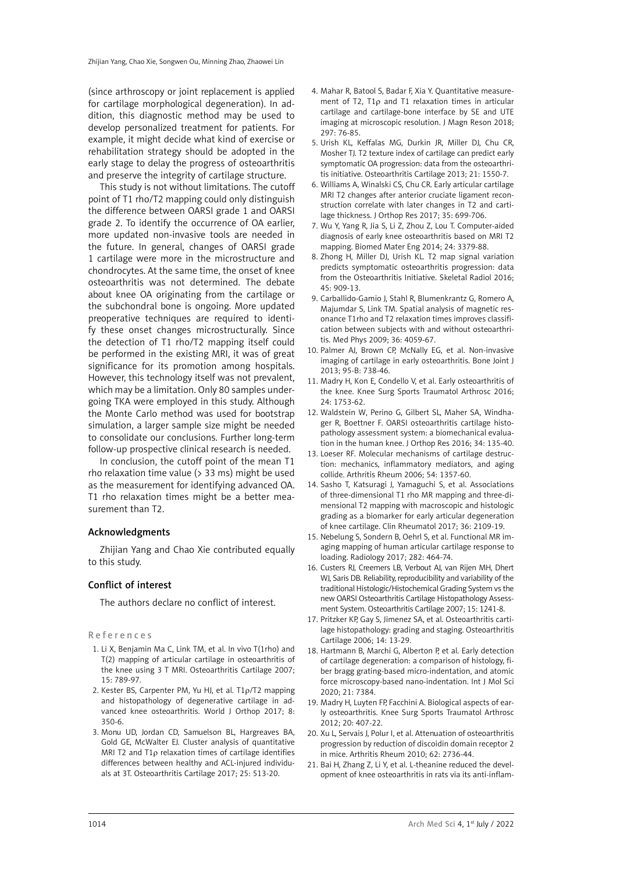(since arthroscopy or joint replacement is applied for cartilage morphological degeneration). In addition, this diagnostic method may be used to develop personalized treatment for patients. For example, it might decide what kind of exercise or rehabilitation strategy should be adopted in the early stage to delay the progress of osteoarthritis and preserve the integrity of cartilage structure.

This study is not without limitations. The cutoff point of T1 rho/T2 mapping could only distinguish the difference between OARSI grade 1 and OARSI grade 2. To identify the occurrence of OA earlier, more updated non-invasive tools are needed in the future. In general, changes of OARSI grade 1 cartilage were more in the microstructure and chondrocytes. At the same time, the onset of knee osteoarthritis was not determined. The debate about knee OA originating from the cartilage or the subchondral bone is ongoing. More updated preoperative techniques are required to identify these onset changes microstructurally. Since the detection of T1 rho/T2 mapping itself could be performed in the existing MRI, it was of great significance for its promotion among hospitals. However, this technology itself was not prevalent, which may be a limitation. Only 80 samples undergoing TKA were employed in this study. Although the Monte Carlo method was used for bootstrap simulation, a larger sample size might be needed to consolidate our conclusions. Further long-term follow-up prospective clinical research is needed.

In conclusion, the cutoff point of the mean T1 rho relaxation time value (> 33 ms) might be used as the measurement for identifying advanced OA. T1 rho relaxation times might be a better measurement than T2.

# Acknowledgments

Zhijian Yang and Chao Xie contributed equally to this study.

#### Conflict of interest

The authors declare no conflict of interest.

References

- 1. Li X, Benjamin Ma C, Link TM, et al. In vivo T(1rho) and T(2) mapping of articular cartilage in osteoarthritis of the knee using 3 T MRI. Osteoarthritis Cartilage 2007; 15: 789-97.
- 2. Kester BS, Carpenter PM, Yu HJ, et al. T1ρ/T2 mapping and histopathology of degenerative cartilage in advanced knee osteoarthritis. World J Orthop 2017; 8: 350-6.
- 3. Monu UD, Jordan CD, Samuelson BL, Hargreaves BA, Gold GE, McWalter EJ. Cluster analysis of quantitative MRI T2 and T1ρ relaxation times of cartilage identifies differences between healthy and ACL-injured individuals at 3T. Osteoarthritis Cartilage 2017; 25: 513-20.
- 4. Mahar R, Batool S, Badar F, Xia Y. Quantitative measurement of T2, T1ρ and T1 relaxation times in articular cartilage and cartilage-bone interface by SE and UTE imaging at microscopic resolution. J Magn Reson 2018; 297: 76-85.
- 5. Urish KL, Keffalas MG, Durkin JR, Miller DJ, Chu CR, Mosher TJ. T2 texture index of cartilage can predict early symptomatic OA progression: data from the osteoarthritis initiative. Osteoarthritis Cartilage 2013; 21: 1550-7.
- 6. Williams A, Winalski CS, Chu CR. Early articular cartilage MRI T2 changes after anterior cruciate ligament reconstruction correlate with later changes in T2 and cartilage thickness. J Orthop Res 2017; 35: 699-706.
- 7. Wu Y, Yang R, Jia S, Li Z, Zhou Z, Lou T. Computer-aided diagnosis of early knee osteoarthritis based on MRI T2 mapping. Biomed Mater Eng 2014; 24: 3379-88.
- 8. Zhong H, Miller DJ, Urish KL. T2 map signal variation predicts symptomatic osteoarthritis progression: data from the Osteoarthritis Initiative. Skeletal Radiol 2016; 45: 909-13.
- 9. Carballido-Gamio J, Stahl R, Blumenkrantz G, Romero A, Majumdar S, Link TM. Spatial analysis of magnetic resonance T1rho and T2 relaxation times improves classification between subjects with and without osteoarthritis. Med Phys 2009; 36: 4059-67.
- 10. Palmer AJ, Brown CP, McNally EG, et al. Non-invasive imaging of cartilage in early osteoarthritis. Bone Joint J 2013; 95-B: 738-46.
- 11. Madry H, Kon E, Condello V, et al. Early osteoarthritis of the knee. Knee Surg Sports Traumatol Arthrosc 2016; 24: 1753-62.
- 12. Waldstein W, Perino G, Gilbert SL, Maher SA, Windhager R, Boettner F. OARSI osteoarthritis cartilage histopathology assessment system: a biomechanical evaluation in the human knee. J Orthop Res 2016; 34: 135-40.
- 13. Loeser RF. Molecular mechanisms of cartilage destruction: mechanics, inflammatory mediators, and aging collide. Arthritis Rheum 2006; 54: 1357-60.
- 14. Sasho T, Katsuragi J, Yamaguchi S, et al. Associations of three-dimensional T1 rho MR mapping and three-dimensional T2 mapping with macroscopic and histologic grading as a biomarker for early articular degeneration of knee cartilage. Clin Rheumatol 2017; 36: 2109-19.
- 15. Nebelung S, Sondern B, Oehrl S, et al. Functional MR imaging mapping of human articular cartilage response to loading. Radiology 2017; 282: 464-74.
- 16. Custers RJ, Creemers LB, Verbout AJ, van Rijen MH, Dhert WJ, Saris DB. Reliability, reproducibility and variability of the traditional Histologic/Histochemical Grading System vs the new OARSI Osteoarthritis Cartilage Histopathology Assessment System. Osteoarthritis Cartilage 2007; 15: 1241-8.
- 17. Pritzker KP, Gay S, Jimenez SA, et al. Osteoarthritis cartilage histopathology: grading and staging. Osteoarthritis Cartilage 2006; 14: 13-29.
- 18. Hartmann B, Marchi G, Alberton P, et al. Early detection of cartilage degeneration: a comparison of histology, fiber bragg grating-based micro-indentation, and atomic force microscopy-based nano-indentation. Int J Mol Sci 2020; 21: 7384.
- 19. Madry H, Luyten FP, Facchini A. Biological aspects of early osteoarthritis. Knee Surg Sports Traumatol Arthrosc 2012; 20: 407-22.
- 20. Xu L, Servais J, Polur I, et al. Attenuation of osteoarthritis progression by reduction of discoidin domain receptor 2 in mice. Arthritis Rheum 2010; 62: 2736-44.
- 21. Bai H, Zhang Z, Li Y, et al. L-theanine reduced the development of knee osteoarthritis in rats via its anti-inflam-